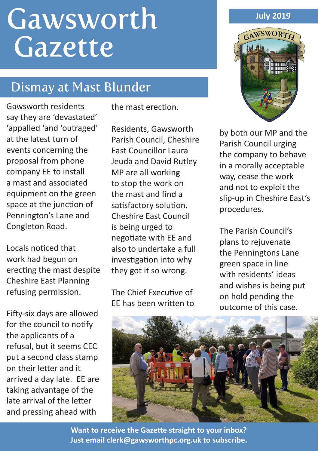# Gawsworth Gazette

# Dismay at Mast Blunder

Gawsworth residents say they are 'devastated' 'appalled 'and 'outraged' at the latest turn of events concerning the proposal from phone company EE to install a mast and associated equipment on the green space at the junction of Pennington's Lane and Congleton Road.

Locals noticed that work had begun on erecting the mast despite Cheshire East Planning refusing permission.

Fifty-six days are allowed for the council to notify the applicants of a refusal, but it seems CEC put a second class stamp on their letter and it arrived a day late. EE are taking advantage of the late arrival of the letter and pressing ahead with

the mast erection.

Residents, Gawsworth Parish Council, Cheshire East Councillor Laura Jeuda and David Rutley MP are all working to stop the work on the mast and find a satisfactory solution. Cheshire East Council is being urged to negotiate with EE and also to undertake a full investigation into why they got it so wrong.

The Chief Executive of EE has been written to



by both our MP and the Parish Council urging the company to behave in a morally acceptable way, cease the work and not to exploit the slip-up in Cheshire East's procedures.

The Parish Council's plans to rejuvenate the Penningtons Lane green space in line with residents' ideas and wishes is being put on hold pending the outcome of this case.



**Want to receive the Gazette straight to your inbox? Just email clerk@gawsworthpc.org.uk to subscribe.**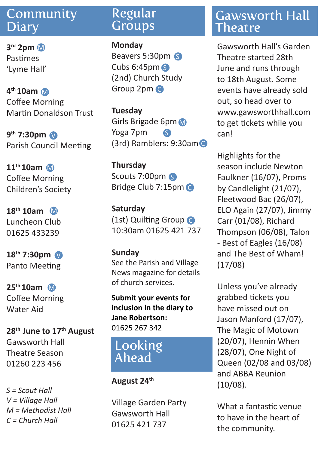#### Community **Diary**

**3rd 2pm** Pastimes 'Lyme Hall'

**4th 10am** M Coffee Morning Martin Donaldson Trust

**9th 7:30pm** V Parish Council Meeting

**11th 10am** M Coffee Morning Children's Society

**18th 10am** M Luncheon Club 01625 433239

**18th 7:30pm** V Panto Meeting

**25th 10am** M Coffee Morning Water Aid

**28th June to 17th August** Gawsworth Hall Theatre Season 01260 223 456

*S = Scout Hall V = Village Hall M = Methodist Hall C = Church Hall* 

#### Regular **Groups**

**Monday** Beavers 5:30pm S Cubs 6:45pm S (2nd) Church Study Group 2pm C

**Tuesday** Girls Brigade 6pm Yoga 7pm (3rd) Ramblers: 9:30am C S

**Thursday** Scouts 7:00pm Bridge Club 7:15pm C

**Saturday** (1st) Quilting Group C 10:30am 01625 421 737

#### **Sunday**

See the Parish and Village News magazine for details of church services.

**Submit your events for inclusion in the diary to Jane Robertson:**  01625 267 342

### Looking Ahead

#### **August 24th**

Village Garden Party Gawsworth Hall 01625 421 737

#### Gawsworth Hall **Theatre**

M Gawsworth Hall's Garden Theatre started 28th June and runs through to 18th August. Some events have already sold out, so head over to www.gawsworthhall.com to get tickets while you can!

Highlights for the season include Newton Faulkner (16/07), Proms by Candlelight (21/07), Fleetwood Bac (26/07), ELO Again (27/07), Jimmy Carr (01/08), Richard Thompson (06/08), Talon - Best of Eagles (16/08) and The Best of Wham! (17/08)

Unless you've already grabbed tickets you have missed out on Jason Manford (17/07), The Magic of Motown (20/07), Hennin When (28/07), One Night of Queen (02/08 and 03/08) and ABBA Reunion (10/08).

What a fantastic venue to have in the heart of the community.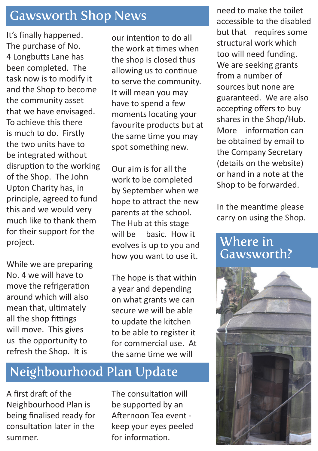## Gawsworth Shop News

It's finally happened. The purchase of No. 4 Longbutts Lane has been completed. The task now is to modify it and the Shop to become the community asset that we have envisaged. To achieve this there is much to do. Firstly the two units have to be integrated without disruption to the working of the Shop. The John Upton Charity has, in principle, agreed to fund this and we would very much like to thank them for their support for the project.

While we are preparing No. 4 we will have to move the refrigeration around which will also mean that, ultimately all the shop fittings will move. This gives us the opportunity to refresh the Shop. It is

our intention to do all the work at times when the shop is closed thus allowing us to continue to serve the community. It will mean you may have to spend a few moments locating your favourite products but at the same time you may spot something new.

Our aim is for all the work to be completed by September when we hope to attract the new parents at the school. The Hub at this stage will be basic. How it evolves is up to you and how you want to use it.

The hope is that within a year and depending on what grants we can secure we will be able to update the kitchen to be able to register it for commercial use. At the same time we will

# Neighbourhood Plan Update

A first draft of the Neighbourhood Plan is being finalised ready for consultation later in the summer.

The consultation will be supported by an Afternoon Tea event keep your eyes peeled for information.

need to make the toilet accessible to the disabled but that requires some structural work which too will need funding. We are seeking grants from a number of sources but none are guaranteed. We are also accepting offers to buy shares in the Shop/Hub. More information can be obtained by email to the Company Secretary (details on the website) or hand in a note at the Shop to be forwarded.

In the meantime please carry on using the Shop.

#### Where in Gawsworth?